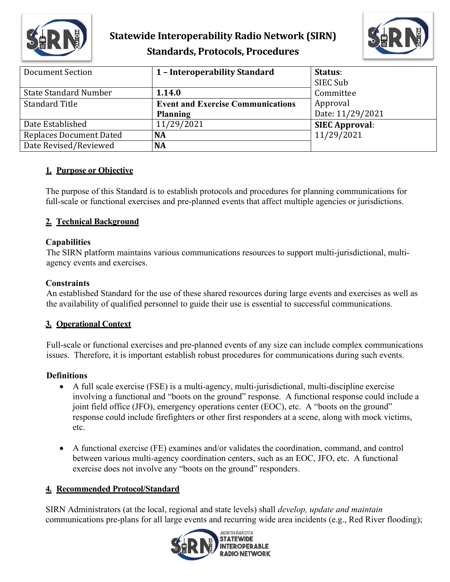

# **Statewide Interoperability Radio Network (SIRN) Standards, Protocols, Procedures**



| Document Section               | 1 - Interoperability Standard            | Status:               |
|--------------------------------|------------------------------------------|-----------------------|
|                                |                                          | SIEC Sub              |
| <b>State Standard Number</b>   | 1.14.0                                   | Committee             |
| <b>Standard Title</b>          | <b>Event and Exercise Communications</b> | Approval              |
|                                | <b>Planning</b>                          | Date: 11/29/2021      |
| Date Established               | 11/29/2021                               | <b>SIEC Approval:</b> |
| <b>Replaces Document Dated</b> | <b>NA</b>                                | 11/29/2021            |
| Date Revised/Reviewed          | <b>NA</b>                                |                       |

### **1. Purpose or Objective**

The purpose of this Standard is to establish protocols and procedures for planning communications for full-scale or functional exercises and pre-planned events that affect multiple agencies or jurisdictions.

### **2. Technical Background**

#### **Capabilities**

The SIRN platform maintains various communications resources to support multi-jurisdictional, multiagency events and exercises.

#### **Constraints**

An established Standard for the use of these shared resources during large events and exercises as well as the availability of qualified personnel to guide their use is essential to successful communications.

#### **3. Operational Context**

Full-scale or functional exercises and pre-planned events of any size can include complex communications issues. Therefore, it is important establish robust procedures for communications during such events.

#### **Definitions**

- A full scale exercise (FSE) is a multi-agency, multi-jurisdictional, multi-discipline exercise involving a functional and "boots on the ground" response. A functional response could include a joint field office (JFO), emergency operations center (EOC), etc. A "boots on the ground" response could include firefighters or other first responders at a scene, along with mock victims, etc.
- A functional exercise (FE) examines and/or validates the coordination, command, and control between various multi-agency coordination centers, such as an EOC, JFO, etc. A functional exercise does not involve any "boots on the ground" responders.

#### **4. Recommended Protocol/Standard**

SIRN Administrators (at the local, regional and state levels) shall *develop, update and maintain* communications pre-plans for all large events and recurring wide area incidents (e.g., Red River flooding);